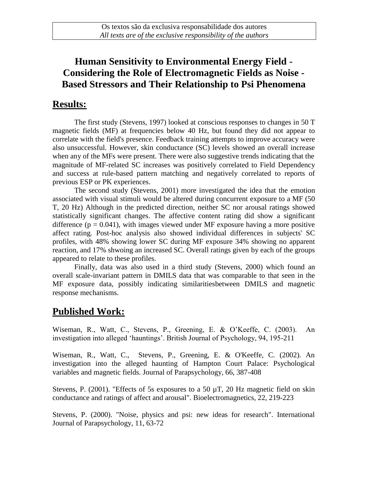## **Human Sensitivity to Environmental Energy Field - Considering the Role of Electromagnetic Fields as Noise - Based Stressors and Their Relationship to Psi Phenomena**

## **Results:**

The first study (Stevens, 1997) looked at conscious responses to changes in 50 T magnetic fields (MF) at frequencies below 40 Hz, but found they did not appear to correlate with the field's presence. Feedback training attempts to improve accuracy were also unsuccessful. However, skin conductance (SC) levels showed an overall increase when any of the MFs were present. There were also suggestive trends indicating that the magnitude of MF-related SC increases was positively correlated to Field Dependency and success at rule-based pattern matching and negatively correlated to reports of previous ESP or PK experiences.

The second study (Stevens, 2001) more investigated the idea that the emotion associated with visual stimuli would be altered during concurrent exposure to a MF (50 T, 20 Hz) Although in the predicted direction, neither SC nor arousal ratings showed statistically significant changes. The affective content rating did show a significant difference ( $p = 0.041$ ), with images viewed under MF exposure having a more positive affect rating. Post-hoc analysis also showed individual differences in subjects' SC profiles, with 48% showing lower SC during MF exposure 34% showing no apparent reaction, and 17% shwoing an increased SC. Overall ratings given by each of the groups appeared to relate to these profiles.

Finally, data was also used in a third study (Stevens, 2000) which found an overall scale-invariant pattern in DMILS data that was comparable to that seen in the MF exposure data, possibly indicating similaritiesbetween DMILS and magnetic response mechanisms.

## **Published Work:**

Wiseman, R., Watt, C., Stevens, P., Greening, E. & O'Keeffe, C. (2003). An investigation into alleged 'hauntings'. British Journal of Psychology, 94, 195-211

Wiseman, R., Watt, C., Stevens, P., Greening, E. & O'Keeffe, C. (2002). An investigation into the alleged haunting of Hampton Court Palace: Psychological variables and magnetic fields. Journal of Parapsychology, 66, 387-408

Stevens, P. (2001). "Effects of 5s exposures to a 50  $\mu$ T, 20 Hz magnetic field on skin conductance and ratings of affect and arousal". Bioelectromagnetics, 22, 219-223

Stevens, P. (2000). "Noise, physics and psi: new ideas for research". International Journal of Parapsychology, 11, 63-72